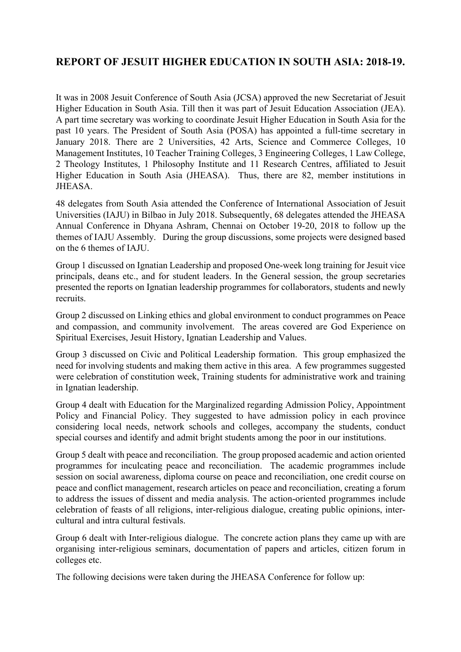# **REPORT OF JESUIT HIGHER EDUCATION IN SOUTH ASIA: 2018-19.**

It was in 2008 Jesuit Conference of South Asia (JCSA) approved the new Secretariat of Jesuit Higher Education in South Asia. Till then it was part of Jesuit Education Association (JEA). A part time secretary was working to coordinate Jesuit Higher Education in South Asia for the past 10 years. The President of South Asia (POSA) has appointed a full-time secretary in January 2018. There are 2 Universities, 42 Arts, Science and Commerce Colleges, 10 Management Institutes, 10 Teacher Training Colleges, 3 Engineering Colleges, 1 Law College, 2 Theology Institutes, 1 Philosophy Institute and 11 Research Centres, affiliated to Jesuit Higher Education in South Asia (JHEASA). Thus, there are 82, member institutions in JHEASA.

48 delegates from South Asia attended the Conference of International Association of Jesuit Universities (IAJU) in Bilbao in July 2018. Subsequently, 68 delegates attended the JHEASA Annual Conference in Dhyana Ashram, Chennai on October 19-20, 2018 to follow up the themes of IAJU Assembly. During the group discussions, some projects were designed based on the 6 themes of IAJU.

Group 1 discussed on Ignatian Leadership and proposed One-week long training for Jesuit vice principals, deans etc., and for student leaders. In the General session, the group secretaries presented the reports on Ignatian leadership programmes for collaborators, students and newly recruits.

Group 2 discussed on Linking ethics and global environment to conduct programmes on Peace and compassion, and community involvement. The areas covered are God Experience on Spiritual Exercises, Jesuit History, Ignatian Leadership and Values.

Group 3 discussed on Civic and Political Leadership formation. This group emphasized the need for involving students and making them active in this area. A few programmes suggested were celebration of constitution week, Training students for administrative work and training in Ignatian leadership.

Group 4 dealt with Education for the Marginalized regarding Admission Policy, Appointment Policy and Financial Policy. They suggested to have admission policy in each province considering local needs, network schools and colleges, accompany the students, conduct special courses and identify and admit bright students among the poor in our institutions.

Group 5 dealt with peace and reconciliation. The group proposed academic and action oriented programmes for inculcating peace and reconciliation. The academic programmes include session on social awareness, diploma course on peace and reconciliation, one credit course on peace and conflict management, research articles on peace and reconciliation, creating a forum to address the issues of dissent and media analysis. The action-oriented programmes include celebration of feasts of all religions, inter-religious dialogue, creating public opinions, intercultural and intra cultural festivals.

Group 6 dealt with Inter-religious dialogue. The concrete action plans they came up with are organising inter-religious seminars, documentation of papers and articles, citizen forum in colleges etc.

The following decisions were taken during the JHEASA Conference for follow up: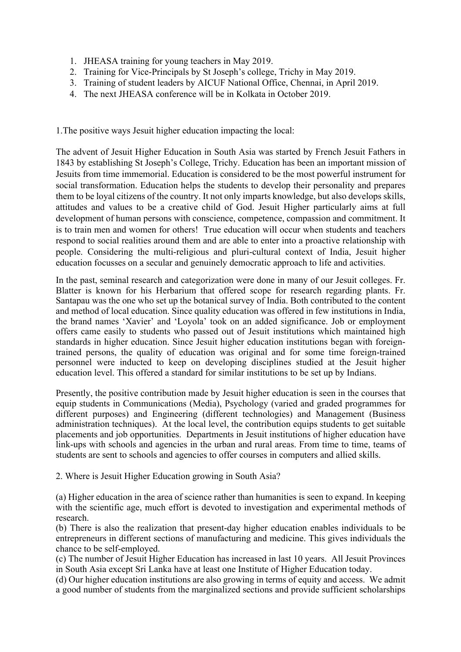- 1. JHEASA training for young teachers in May 2019.
- 2. Training for Vice-Principals by St Joseph's college, Trichy in May 2019.
- 3. Training of student leaders by AICUF National Office, Chennai, in April 2019.
- 4. The next JHEASA conference will be in Kolkata in October 2019.

1.The positive ways Jesuit higher education impacting the local:

The advent of Jesuit Higher Education in South Asia was started by French Jesuit Fathers in 1843 by establishing St Joseph's College, Trichy. Education has been an important mission of Jesuits from time immemorial. Education is considered to be the most powerful instrument for social transformation. Education helps the students to develop their personality and prepares them to be loyal citizens of the country. It not only imparts knowledge, but also develops skills, attitudes and values to be a creative child of God. Jesuit Higher particularly aims at full development of human persons with conscience, competence, compassion and commitment. It is to train men and women for others! True education will occur when students and teachers respond to social realities around them and are able to enter into a proactive relationship with people. Considering the multi-religious and pluri-cultural context of India, Jesuit higher education focusses on a secular and genuinely democratic approach to life and activities.

In the past, seminal research and categorization were done in many of our Jesuit colleges. Fr. Blatter is known for his Herbarium that offered scope for research regarding plants. Fr. Santapau was the one who set up the botanical survey of India. Both contributed to the content and method of local education. Since quality education was offered in few institutions in India, the brand names 'Xavier' and 'Loyola' took on an added significance. Job or employment offers came easily to students who passed out of Jesuit institutions which maintained high standards in higher education. Since Jesuit higher education institutions began with foreigntrained persons, the quality of education was original and for some time foreign-trained personnel were inducted to keep on developing disciplines studied at the Jesuit higher education level. This offered a standard for similar institutions to be set up by Indians.

Presently, the positive contribution made by Jesuit higher education is seen in the courses that equip students in Communications (Media), Psychology (varied and graded programmes for different purposes) and Engineering (different technologies) and Management (Business administration techniques). At the local level, the contribution equips students to get suitable placements and job opportunities. Departments in Jesuit institutions of higher education have link-ups with schools and agencies in the urban and rural areas. From time to time, teams of students are sent to schools and agencies to offer courses in computers and allied skills.

2. Where is Jesuit Higher Education growing in South Asia?

(a) Higher education in the area of science rather than humanities is seen to expand. In keeping with the scientific age, much effort is devoted to investigation and experimental methods of research.

(b) There is also the realization that present-day higher education enables individuals to be entrepreneurs in different sections of manufacturing and medicine. This gives individuals the chance to be self-employed.

(c) The number of Jesuit Higher Education has increased in last 10 years. All Jesuit Provinces in South Asia except Sri Lanka have at least one Institute of Higher Education today.

(d) Our higher education institutions are also growing in terms of equity and access. We admit a good number of students from the marginalized sections and provide sufficient scholarships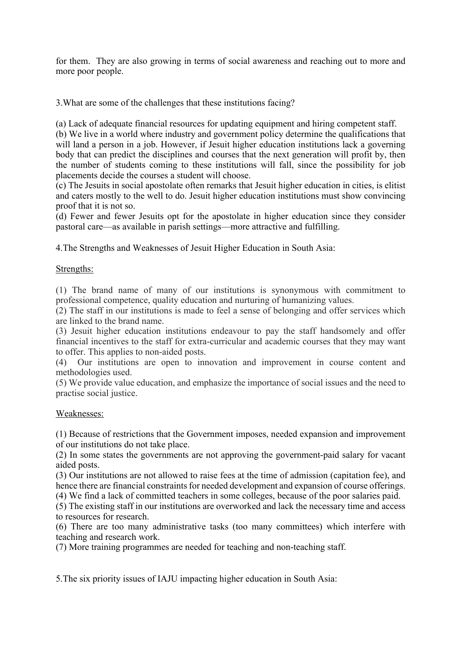for them. They are also growing in terms of social awareness and reaching out to more and more poor people.

3.What are some of the challenges that these institutions facing?

(a) Lack of adequate financial resources for updating equipment and hiring competent staff.

(b) We live in a world where industry and government policy determine the qualifications that will land a person in a job. However, if Jesuit higher education institutions lack a governing body that can predict the disciplines and courses that the next generation will profit by, then the number of students coming to these institutions will fall, since the possibility for job placements decide the courses a student will choose.

(c) The Jesuits in social apostolate often remarks that Jesuit higher education in cities, is elitist and caters mostly to the well to do. Jesuit higher education institutions must show convincing proof that it is not so.

(d) Fewer and fewer Jesuits opt for the apostolate in higher education since they consider pastoral care—as available in parish settings—more attractive and fulfilling.

4.The Strengths and Weaknesses of Jesuit Higher Education in South Asia:

## Strengths:

(1) The brand name of many of our institutions is synonymous with commitment to professional competence, quality education and nurturing of humanizing values.

(2) The staff in our institutions is made to feel a sense of belonging and offer services which are linked to the brand name.

(3) Jesuit higher education institutions endeavour to pay the staff handsomely and offer financial incentives to the staff for extra-curricular and academic courses that they may want to offer. This applies to non-aided posts.

(4) Our institutions are open to innovation and improvement in course content and methodologies used.

(5) We provide value education, and emphasize the importance of social issues and the need to practise social justice.

### Weaknesses:

(1) Because of restrictions that the Government imposes, needed expansion and improvement of our institutions do not take place.

(2) In some states the governments are not approving the government-paid salary for vacant aided posts.

(3) Our institutions are not allowed to raise fees at the time of admission (capitation fee), and hence there are financial constraints for needed development and expansion of course offerings.

(4) We find a lack of committed teachers in some colleges, because of the poor salaries paid.

(5) The existing staff in our institutions are overworked and lack the necessary time and access to resources for research.

(6) There are too many administrative tasks (too many committees) which interfere with teaching and research work.

(7) More training programmes are needed for teaching and non-teaching staff.

5.The six priority issues of IAJU impacting higher education in South Asia: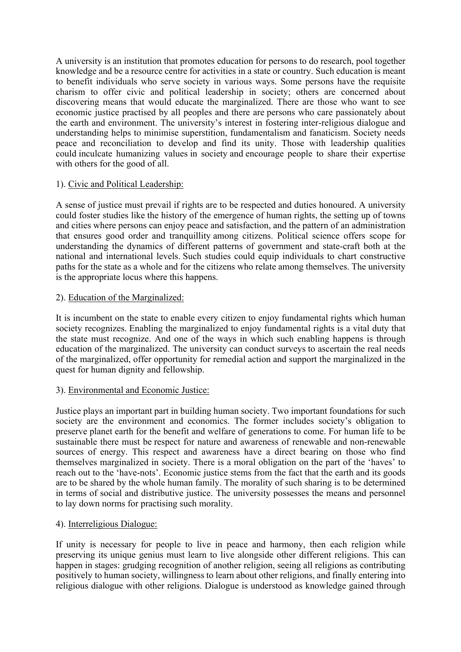A university is an institution that promotes education for persons to do research, pool together knowledge and be a resource centre for activities in a state or country. Such education is meant to benefit individuals who serve society in various ways. Some persons have the requisite charism to offer civic and political leadership in society; others are concerned about discovering means that would educate the marginalized. There are those who want to see economic justice practised by all peoples and there are persons who care passionately about the earth and environment. The university's interest in fostering inter-religious dialogue and understanding helps to minimise superstition, fundamentalism and fanaticism. Society needs peace and reconciliation to develop and find its unity. Those with leadership qualities could inculcate humanizing values in society and encourage people to share their expertise with others for the good of all.

## 1). Civic and Political Leadership:

A sense of justice must prevail if rights are to be respected and duties honoured. A university could foster studies like the history of the emergence of human rights, the setting up of towns and cities where persons can enjoy peace and satisfaction, and the pattern of an administration that ensures good order and tranquillity among citizens. Political science offers scope for understanding the dynamics of different patterns of government and state-craft both at the national and international levels. Such studies could equip individuals to chart constructive paths for the state as a whole and for the citizens who relate among themselves. The university is the appropriate locus where this happens.

## 2). Education of the Marginalized:

It is incumbent on the state to enable every citizen to enjoy fundamental rights which human society recognizes. Enabling the marginalized to enjoy fundamental rights is a vital duty that the state must recognize. And one of the ways in which such enabling happens is through education of the marginalized. The university can conduct surveys to ascertain the real needs of the marginalized, offer opportunity for remedial action and support the marginalized in the quest for human dignity and fellowship.

### 3). Environmental and Economic Justice:

Justice plays an important part in building human society. Two important foundations for such society are the environment and economics. The former includes society's obligation to preserve planet earth for the benefit and welfare of generations to come. For human life to be sustainable there must be respect for nature and awareness of renewable and non-renewable sources of energy. This respect and awareness have a direct bearing on those who find themselves marginalized in society. There is a moral obligation on the part of the 'haves' to reach out to the 'have-nots'. Economic justice stems from the fact that the earth and its goods are to be shared by the whole human family. The morality of such sharing is to be determined in terms of social and distributive justice. The university possesses the means and personnel to lay down norms for practising such morality.

### 4). Interreligious Dialogue:

If unity is necessary for people to live in peace and harmony, then each religion while preserving its unique genius must learn to live alongside other different religions. This can happen in stages: grudging recognition of another religion, seeing all religions as contributing positively to human society, willingness to learn about other religions, and finally entering into religious dialogue with other religions. Dialogue is understood as knowledge gained through